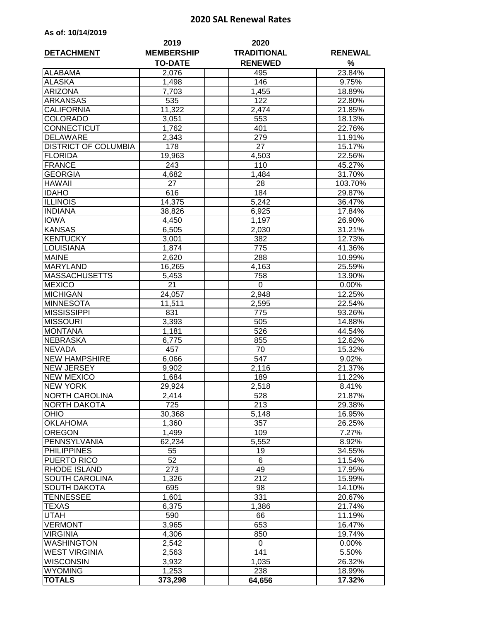## **2020 SAL Renewal Rates**

|  | As of: 10/14/2019 |  |  |  |  |
|--|-------------------|--|--|--|--|
|--|-------------------|--|--|--|--|

| <b>DETACHMENT</b>           | 2019<br><b>MEMBERSHIP</b> | 2020<br><b>TRADITIONAL</b> | <b>RENEWAL</b> |
|-----------------------------|---------------------------|----------------------------|----------------|
|                             | <b>TO-DATE</b>            | <b>RENEWED</b>             | %              |
| <b>ALABAMA</b>              | 2,076                     | 495                        | 23.84%         |
| <b>ALASKA</b>               | 1,498                     | 146                        | 9.75%          |
| <b>ARIZONA</b>              | 7.703                     | 1,455                      | 18.89%         |
| <b>ARKANSAS</b>             | 535                       | 122                        | 22.80%         |
| <b>CALIFORNIA</b>           | 11,322                    | 2,474                      | 21.85%         |
| <b>COLORADO</b>             | 3,051                     | 553                        | 18.13%         |
| CONNECTICUT                 | 1,762                     | 401                        | 22.76%         |
| <b>DELAWARE</b>             | 2,343                     | 279                        | 11.91%         |
| <b>DISTRICT OF COLUMBIA</b> | 178                       | 27                         | 15.17%         |
| <b>FLORIDA</b>              | 19,963                    | 4,503                      | 22.56%         |
| <b>FRANCE</b>               | 243                       | 110                        | 45.27%         |
| <b>GEORGIA</b>              | 4,682                     | 1,484                      | 31.70%         |
| <b>HAWAII</b>               | 27                        | 28                         | 103.70%        |
| <b>IDAHO</b>                | 616                       | 184                        | 29.87%         |
| <b>ILLINOIS</b>             | 14,375                    | 5,242                      | 36.47%         |
| <b>INDIANA</b>              | 38,826                    | 6,925                      | 17.84%         |
| <b>IOWA</b>                 | 4,450                     | 1,197                      | 26.90%         |
| <b>KANSAS</b>               | 6,505                     | 2,030                      | 31.21%         |
| <b>KENTUCKY</b>             | 3,001                     | 382                        | 12.73%         |
| LOUISIANA                   | 1,874                     | 775                        | 41.36%         |
| <b>MAINE</b>                | 2,620                     | 288                        | 10.99%         |
| <b>MARYLAND</b>             | 16,265                    | 4,163                      | 25.59%         |
| <b>MASSACHUSETTS</b>        | 5,453                     | 758                        | 13.90%         |
| <b>MEXICO</b>               | $\overline{2}1$           | 0                          | 0.00%          |
| <b>MICHIGAN</b>             | 24,057                    | 2,948                      | 12.25%         |
| <b>MINNESOTA</b>            | 11,511                    | 2,595                      | 22.54%         |
| <b>MISSISSIPPI</b>          | 831                       | 775                        | 93.26%         |
| <b>MISSOURI</b>             | 3,393                     | 505                        | 14.88%         |
| <b>MONTANA</b>              | 1,181                     | 526                        | 44.54%         |
| <b>NEBRASKA</b>             | 6,775                     | 855                        | 12.62%         |
| <b>NEVADA</b>               | 457                       | 70                         | 15.32%         |
| <b>NEW HAMPSHIRE</b>        | 6,066                     | 547                        | 9.02%          |
| <b>NEW JERSEY</b>           | 9,902                     | 2,116                      | 21.37%         |
| <b>NEW MEXICO</b>           | 1,684                     | 189                        | 11.22%         |
| <b>NEW YORK</b>             | 29,924                    | 2,518                      | 8.41%          |
| <b>NORTH CAROLINA</b>       | 2,414                     | 528                        | 21.87%         |
| NORTH DAKOTA                | 725                       | 213                        | 29.38%         |
| <b>OHIO</b>                 | 30,368                    | 5,148                      | 16.95%         |
| <b>OKLAHOMA</b>             | 1,360                     | 357                        | 26.25%         |
| <b>OREGON</b>               | 1,499                     | 109                        | 7.27%          |
| PENNSYLVANIA                | 62,234                    | 5,552                      | $8.92\%$       |
| <b>PHILIPPINES</b>          | 55                        | 19                         | 34.55%         |
| PUERTO RICO                 | 52                        | 6                          | 11.54%         |
| <b>RHODE ISLAND</b>         | 273                       | 49                         | 17.95%         |
| SOUTH CAROLINA              | 1,326                     | 212                        | 15.99%         |
| <b>SOUTH DAKOTA</b>         | 695                       | 98                         | 14.10%         |
| TENNESSEE                   | 1,601                     | 331                        | 20.67%         |
| TEXAS                       | 6,375                     | 1,386                      | 21.74%         |
| UTAH                        | 590                       | 66                         | 11.19%         |
| <b>VERMONT</b>              | 3,965                     | 653                        | 16.47%         |
| <b>VIRGINIA</b>             | 4,306                     | 850                        | 19.74%         |
| <b>WASHINGTON</b>           | 2,542                     | 0                          | 0.00%          |
| <b>WEST VIRGINIA</b>        | 2,563                     | 141                        | 5.50%          |
| WISCONSIN                   | 3,932                     | 1,035                      | 26.32%         |
| <b>WYOMING</b>              | 1,253                     | 238                        | 18.99%         |
| <b>TOTALS</b>               | 373,298                   | 64,656                     | 17.32%         |